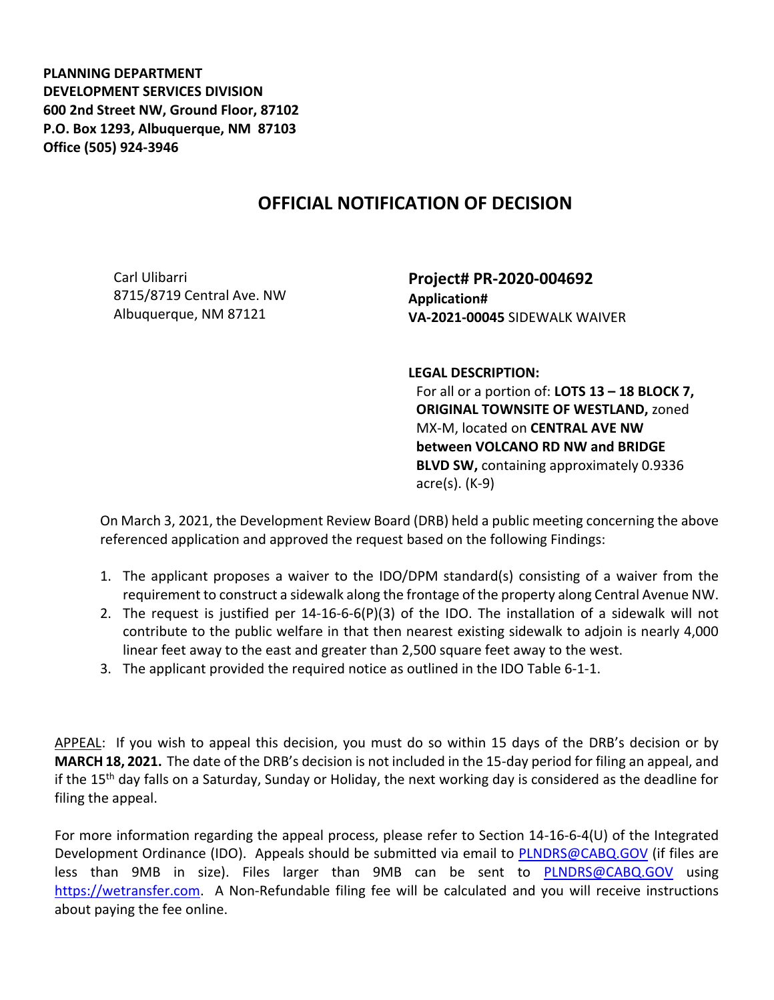**PLANNING DEPARTMENT DEVELOPMENT SERVICES DIVISION 600 2nd Street NW, Ground Floor, 87102 P.O. Box 1293, Albuquerque, NM 87103 Office (505) 924-3946** 

## **OFFICIAL NOTIFICATION OF DECISION**

Carl Ulibarri 8715/8719 Central Ave. NW Albuquerque, NM 87121

**Project# PR-2020-004692 Application# VA-2021-00045** SIDEWALK WAIVER

**LEGAL DESCRIPTION:**

For all or a portion of: **LOTS 13 – 18 BLOCK 7, ORIGINAL TOWNSITE OF WESTLAND,** zoned MX-M, located on **CENTRAL AVE NW between VOLCANO RD NW and BRIDGE BLVD SW,** containing approximately 0.9336 acre(s). (K-9)

On March 3, 2021, the Development Review Board (DRB) held a public meeting concerning the above referenced application and approved the request based on the following Findings:

- 1. The applicant proposes a waiver to the IDO/DPM standard(s) consisting of a waiver from the requirement to construct a sidewalk along the frontage of the property along Central Avenue NW.
- 2. The request is justified per  $14\n-16\n-6\n-6(P)(3)$  of the IDO. The installation of a sidewalk will not contribute to the public welfare in that then nearest existing sidewalk to adjoin is nearly 4,000 linear feet away to the east and greater than 2,500 square feet away to the west.
- 3. The applicant provided the required notice as outlined in the IDO Table 6-1-1.

APPEAL: If you wish to appeal this decision, you must do so within 15 days of the DRB's decision or by **MARCH 18, 2021.** The date of the DRB's decision is not included in the 15-day period for filing an appeal, and if the 15th day falls on a Saturday, Sunday or Holiday, the next working day is considered as the deadline for filing the appeal.

For more information regarding the appeal process, please refer to Section 14-16-6-4(U) of the Integrated Development Ordinance (IDO). Appeals should be submitted via email to **PLNDRS@CABQ.GOV** (if files are less than 9MB in size). Files larger than 9MB can be sent to [PLNDRS@CABQ.GOV](mailto:PLNDRS@CABQ.GOV) using [https://wetransfer.com.](https://wetransfer.com/) A Non-Refundable filing fee will be calculated and you will receive instructions about paying the fee online.